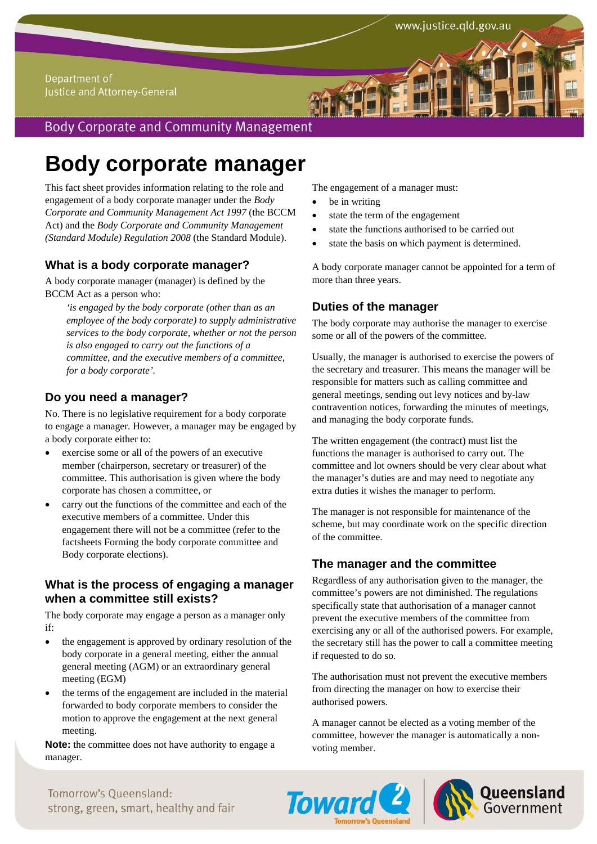#### Department of Justice and Attorney-General

# **Body Corporate and Community Management**

# **Body corporate manager**

This fact sheet provides information relating to the role and engagement of a body corporate manager under the *Body Corporate and Community Management Act 1997* (the BCCM Act) and the *Body Corporate and Community Management (Standard Module) Regulation 2008* (the Standard Module).

## **What is a body corporate manager?**

A body corporate manager (manager) is defined by the BCCM Act as a person who:

*'is engaged by the body corporate (other than as an employee of the body corporate) to supply administrative services to the body corporate, whether or not the person is also engaged to carry out the functions of a committee, and the executive members of a committee, for a body corporate'.*

## **Do you need a manager?**

No. There is no legislative requirement for a body corporate to engage a manager. However, a manager may be engaged by a body corporate either to:

- exercise some or all of the powers of an executive member (chairperson, secretary or treasurer) of the committee. This authorisation is given where the body corporate has chosen a committee, or
- carry out the functions of the committee and each of the executive members of a committee. Under this engagement there will not be a committee (refer to the factsheets Forming the body corporate committee and Body corporate elections).

### **What is the process of engaging a manager when a committee still exists?**

The body corporate may engage a person as a manager only if:

- the engagement is approved by ordinary resolution of the body corporate in a general meeting, either the annual general meeting (AGM) or an extraordinary general meeting (EGM)
- the terms of the engagement are included in the material forwarded to body corporate members to consider the motion to approve the engagement at the next general meeting.

**Note:** the committee does not have authority to engage a manager.

The engagement of a manager must:

- be in writing
- state the term of the engagement
- state the functions authorised to be carried out
- state the basis on which payment is determined.

A body corporate manager cannot be appointed for a term of more than three years.

#### **Duties of the manager**

The body corporate may authorise the manager to exercise some or all of the powers of the committee.

Usually, the manager is authorised to exercise the powers of the secretary and treasurer. This means the manager will be responsible for matters such as calling committee and general meetings, sending out levy notices and by-law contravention notices, forwarding the minutes of meetings, and managing the body corporate funds.

The written engagement (the contract) must list the functions the manager is authorised to carry out. The committee and lot owners should be very clear about what the manager's duties are and may need to negotiate any extra duties it wishes the manager to perform.

The manager is not responsible for maintenance of the scheme, but may coordinate work on the specific direction of the committee.

#### **The manager and the committee**

Regardless of any authorisation given to the manager, the committee's powers are not diminished. The regulations specifically state that authorisation of a manager cannot prevent the executive members of the committee from exercising any or all of the authorised powers. For example, the secretary still has the power to call a committee meeting if requested to do so.

The authorisation must not prevent the executive members from directing the manager on how to exercise their authorised powers.

A manager cannot be elected as a voting member of the committee, however the manager is automatically a nonvoting member.





Tomorrow's Oueensland: strong, green, smart, healthy and fair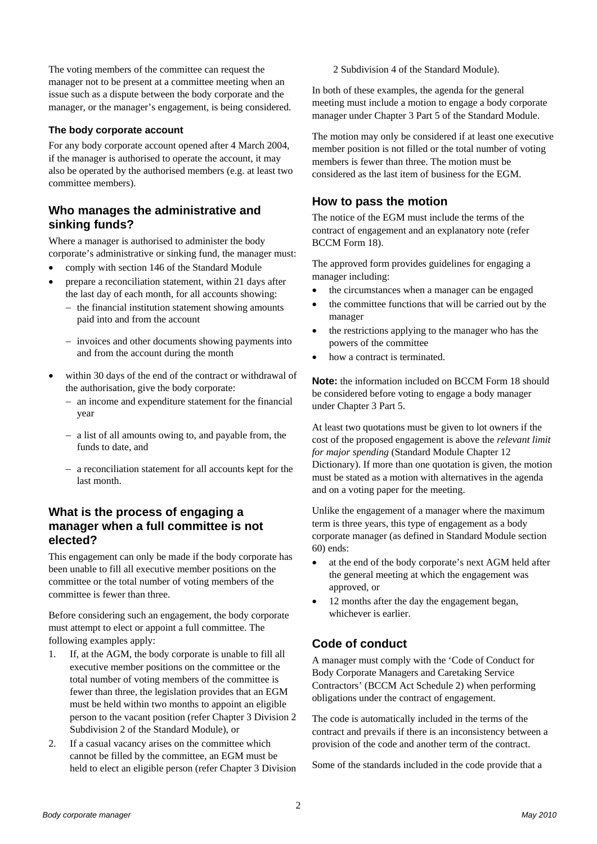The voting members of the committee can request the manager not to be present at a committee meeting when an issue such as a dispute between the body corporate and the manager, or the manager's engagement, is being considered.

#### **The body corporate account**

For any body corporate account opened after 4 March 2004, if the manager is authorised to operate the account, it may also be operated by the authorised members (e.g. at least two committee members).

### **Who manages the administrative and sinking funds?**

Where a manager is authorised to administer the body corporate's administrative or sinking fund, the manager must:

- comply with section 146 of the Standard Module
- prepare a reconciliation statement, within 21 days after the last day of each month, for all accounts showing:
	- $-$  the financial institution statement showing amounts paid into and from the account
	- invoices and other documents showing payments into and from the account during the month
- within 30 days of the end of the contract or withdrawal of the authorisation, give the body corporate:
	- an income and expenditure statement for the financial year
	- a list of all amounts owing to, and payable from, the funds to date, and
	- a reconciliation statement for all accounts kept for the last month.

## **What is the process of engaging a manager when a full committee is not elected?**

This engagement can only be made if the body corporate has been unable to fill all executive member positions on the committee or the total number of voting members of the committee is fewer than three.

Before considering such an engagement, the body corporate must attempt to elect or appoint a full committee. The following examples apply:

- 1. If, at the AGM, the body corporate is unable to fill all executive member positions on the committee or the total number of voting members of the committee is fewer than three, the legislation provides that an EGM must be held within two months to appoint an eligible person to the vacant position (refer Chapter 3 Division 2 Subdivision 2 of the Standard Module), or
- 2. If a casual vacancy arises on the committee which cannot be filled by the committee, an EGM must be held to elect an eligible person (refer Chapter 3 Division

2 Subdivision 4 of the Standard Module).

In both of these examples, the agenda for the general meeting must include a motion to engage a body corporate manager under Chapter 3 Part 5 of the Standard Module.

The motion may only be considered if at least one executive member position is not filled or the total number of voting members is fewer than three. The motion must be considered as the last item of business for the EGM.

## **How to pass the motion**

The notice of the EGM must include the terms of the contract of engagement and an explanatory note (refer BCCM Form 18).

The approved form provides guidelines for engaging a manager including:

- the circumstances when a manager can be engaged
- the committee functions that will be carried out by the manager
- the restrictions applying to the manager who has the powers of the committee
- how a contract is terminated.

**Note:** the information included on BCCM Form 18 should be considered before voting to engage a body manager under Chapter 3 Part 5.

At least two quotations must be given to lot owners if the cost of the proposed engagement is above the *relevant limit for major spending* (Standard Module Chapter 12 Dictionary). If more than one quotation is given, the motion must be stated as a motion with alternatives in the agenda and on a voting paper for the meeting.

Unlike the engagement of a manager where the maximum term is three years, this type of engagement as a body corporate manager (as defined in Standard Module section 60) ends:

- at the end of the body corporate's next AGM held after the general meeting at which the engagement was approved, or
- 12 months after the day the engagement began, whichever is earlier.

## **Code of conduct**

A manager must comply with the 'Code of Conduct for Body Corporate Managers and Caretaking Service Contractors' (BCCM Act Schedule 2) when performing obligations under the contract of engagement.

The code is automatically included in the terms of the contract and prevails if there is an inconsistency between a provision of the code and another term of the contract.

Some of the standards included in the code provide that a